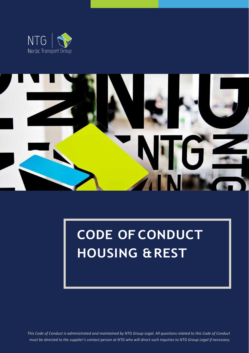



# **CODE OFCONDUCT HOUSING &REST**

*This Code of Conduct is administrated and maintained by NTG Group Legal. All questions related to this Code of Conduct must be directed to the supplier's contact person at NTG who will direct such inquiries to NTG Group Legal if necessary.*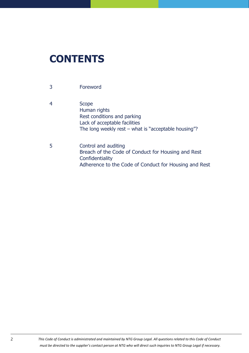# **CONTENTS**

- 3 [Foreword](#page-2-0)
- 4 [Scope](#page-3-0) [Human rights](#page-3-1) [Rest conditions and parking](#page-3-2) [Lack of acceptable facilities](#page-3-3) The long weekly rest – [what is "acceptable housing"?](#page-3-4)
- 5 [Control and](#page-4-0) auditing [Breach of the Code of Conduct for Housing and Rest](#page-4-1) **[Confidentiality](#page-4-2)** Adherence to the Code of Conduct for Housing and Rest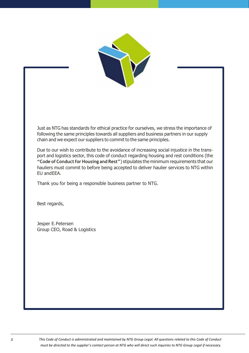

<span id="page-2-0"></span>Just as NTG has standards for ethical practice for ourselves, we stress the importance of following the same principles towards all suppliers and business partners in our supply chain and we expect our suppliers to commit to the same principles.

Due to our wish to contribute to the avoidance of increasing social injustice in the transport and logistics sector, this code of conduct regarding housing and rest conditions (the **"Code of ConductforHousing and Rest"**) stipulates the minimum requirements that our hauliers must commit to before being accepted to deliver haulier services to NTG within EU andEEA.

Thank you for being a responsible business partner to NTG.

Best regards,

Jesper E.Petersen Group CEO, Road & Logistics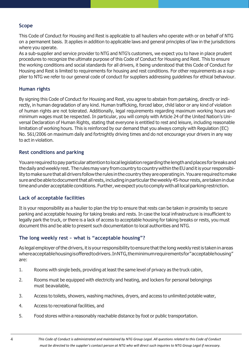#### <span id="page-3-0"></span>**Scope**

This Code of Conduct for Housing and Rest is applicable to all hauliers who operate with or on behalf of NTG on a permanent basis. It applies in addition to applicable laws and general principles of law in the jurisdictions where you operate.

As a sub-supplier and service provider to NTG and NTG's customers, we expect you to have in place prudent procedures to recognize the ultimate purpose of this Code of Conduct for Housing and Rest. This to ensure the working conditions and social standards for all drivers, it being understood that this Code of Conduct for Housing and Rest is limited to requirements for housing and rest conditions. For other requirements as a supplier to NTG we refer to our general code of conduct for suppliers addressing guidelines for ethical behaviour.

#### <span id="page-3-1"></span>**Human rights**

By signing this Code of Conduct for Housing and Rest, you agree to abstain from partaking, directly or indirectly, in human degradation of any kind. Human trafficking, forced labor, child labor or any kind of violation of human rights are not tolerated. Additionally, legal requirements regarding maximum working hours and minimum wages must be respected. In particular, you will comply with Article 24 of the United Nation's Universal Declaration of Human Rights, stating that everyone is entitled to rest and leisure, including reasonable limitation of working hours. This is reinforced by our demand that you always comply with Regulation (EC) No. 561/2006 on maximum daily and fortnightly driving times and do not encourage your drivers in any way to act in violation.

#### <span id="page-3-2"></span>**Rest conditions and parking**

You are required to pay particular attention to local legislation regarding the length and places for breaks and thedaily andweekly rest.Therulesmay vary fromcountry tocountrywithintheEUanditisyourresponsibility to make sure that all drivers follow the rules in the country they are operating in. You are required to make sure and be able to document that all rests, including in particular the weekly 45-hour rests, are taken in due time and under acceptable conditions. Further, we expect you to comply with all local parking restriction.

#### <span id="page-3-3"></span>**Lack of acceptable facilities**

It is your responsibility as a haulier to plan the trip to ensure that rests can be taken in proximity to secure parking and acceptable housing for taking breaks and rests. In case the local infrastructure is insufficient to legally park the truck, or there is a lack of access to acceptable housing for taking breaks or rests, you must document this and be able to present such documentation to local authorities and NTG.

#### <span id="page-3-4"></span>**The long weekly rest – what is "acceptable housing"?**

As legal employer of the drivers, it is your responsibility to ensure that the long weekly rest is taken in areas whereacceptablehousingisofferedtodrivers.InNTG,theminimumrequirementsfor"acceptablehousing" are:

- 1. Rooms with single beds, providing at least the same level of privacy as the truck cabin,
- 2. Rooms must be equipped with electricity and heating, and lockers for personal belongings must beavailable,
- 3. Access to toilets, showers, washing machines, dryers, and access to unlimited potable water,
- 4. Access to recreational facilities, and
- 5. Food stores within a reasonably reachable distance by foot or public transportation.